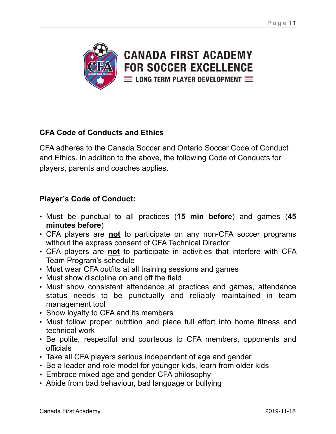

## **CFA Code of Conducts and Ethics**

CFA adheres to the Canada Soccer and Ontario Soccer Code of Conduct and Ethics. In addition to the above, the following Code of Conducts for players, parents and coaches applies.

## **Player's Code of Conduct:**

- Must be punctual to all practices (**15 min before**) and games (**45 minutes before**)
- CFA players are **not** to participate on any non-CFA soccer programs without the express consent of CFA Technical Director
- CFA players are **not** to participate in activities that interfere with CFA Team Program's schedule
- Must wear CFA outfits at all training sessions and games
- Must show discipline on and off the field
- Must show consistent attendance at practices and games, attendance status needs to be punctually and reliably maintained in team management tool
- Show loyalty to CFA and its members
- Must follow proper nutrition and place full effort into home fitness and technical work
- Be polite, respectful and courteous to CFA members, opponents and officials
- Take all CFA players serious independent of age and gender
- Be a leader and role model for younger kids, learn from older kids
- Embrace mixed age and gender CFA philosophy
- Abide from bad behaviour, bad language or bullying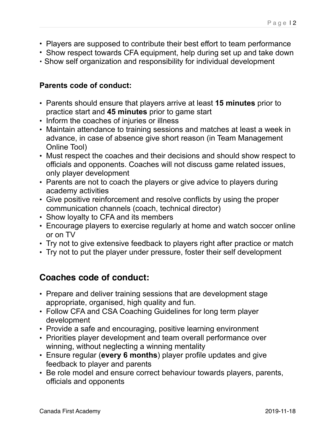- Players are supposed to contribute their best effort to team performance
- Show respect towards CFA equipment, help during set up and take down
- Show self organization and responsibility for individual development

## **Parents code of conduct:**

- Parents should ensure that players arrive at least **15 minutes** prior to practice start and **45 minutes** prior to game start
- Inform the coaches of injuries or illness
- Maintain attendance to training sessions and matches at least a week in advance, in case of absence give short reason (in Team Management Online Tool)
- Must respect the coaches and their decisions and should show respect to officials and opponents. Coaches will not discuss game related issues, only player development
- Parents are not to coach the players or give advice to players during academy activities
- Give positive reinforcement and resolve conflicts by using the proper communication channels (coach, technical director)
- Show loyalty to CFA and its members
- Encourage players to exercise regularly at home and watch soccer online or on TV
- Try not to give extensive feedback to players right after practice or match
- Try not to put the player under pressure, foster their self development

## **Coaches code of conduct:**

- Prepare and deliver training sessions that are development stage appropriate, organised, high quality and fun.
- Follow CFA and CSA Coaching Guidelines for long term player development
- Provide a safe and encouraging, positive learning environment
- Priorities player development and team overall performance over winning, without neglecting a winning mentality
- Ensure regular (**every 6 months**) player profile updates and give feedback to player and parents
- Be role model and ensure correct behaviour towards players, parents, officials and opponents